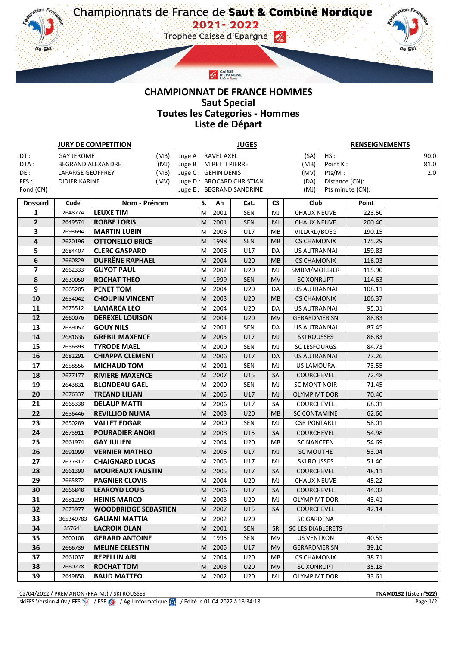**CHAMPIONNAT DE FRANCE HOMMES Saut Special Toutes les Categories - Hommes Liste de Départ**

CAISSE<br>PEPARGNE<br>Rhône Alpes

ن.

v

 $\eta$ .

de Ski

|                | <b>JURY DE COMPETITION</b> | <b>JUGES</b>                                   |                    |        |              | <b>RENSEIGNEMENTS</b>    |           |                                   |                  |                |  |
|----------------|----------------------------|------------------------------------------------|--------------------|--------|--------------|--------------------------|-----------|-----------------------------------|------------------|----------------|--|
| DT:            | <b>GAY JEROME</b><br>(MB)  |                                                | Juge A: RAVEL AXEL |        |              |                          | (SA)      | HS:                               |                  | 90.0           |  |
| DTA:           | BEGRAND ALEXANDRE          | Juge B: MIRETTI PIERRE                         |                    |        |              | (MB)                     | Point K:  |                                   | 81.0             |                |  |
| DE:            | LAFARGE GEOFFREY           | Juge C: GEHIN DENIS                            |                    |        |              |                          | (MV)      | Pts/M:                            |                  | 2.0            |  |
| FFS:           | DIDIER KARINE              | Juge D: BROCARD CHRISTIAN                      |                    |        |              | Distance (CN):<br>(DA)   |           |                                   |                  |                |  |
| Fond (CN) :    |                            |                                                |                    |        |              | Juge E: BEGRAND SANDRINE |           | (MJ)                              | Pts minute (CN): |                |  |
| <b>Dossard</b> | Code                       | Nom - Prénom                                   |                    | S.     | An           | Cat.                     | <b>CS</b> | Club                              |                  | Point          |  |
| 1              | 2648774                    | <b>LEUXE TIM</b>                               |                    | M      | 2001         | <b>SEN</b>               | MJ        | <b>CHAUX NEUVE</b>                |                  | 223.50         |  |
| $\overline{2}$ | 2649574                    | <b>ROBBE LORIS</b>                             |                    | M      | 2001         | <b>SEN</b>               | MJ        | <b>CHAUX NEUVE</b>                |                  | 200.40         |  |
| 3              | 2693694                    | <b>MARTIN LUBIN</b>                            |                    | M      | 2006         | U17                      | MВ        | VILLARD/BOEG                      |                  | 190.15         |  |
| 4              | 2620196                    | <b>OTTONELLO BRICE</b>                         |                    | M      | 1998         | <b>SEN</b>               | MB        | <b>CS CHAMONIX</b>                |                  | 175.29         |  |
| 5              | 2684407                    | <b>CLERC GASPARD</b>                           |                    | M      | 2006         | U17                      | DA        | <b>US AUTRANNAI</b>               |                  | 159.83         |  |
| 6              | 2660829                    | <b>DUFRÊNE RAPHAEL</b>                         |                    | M      | 2004         | U20                      | MB        | <b>CS CHAMONIX</b>                |                  | 116.03         |  |
| 7              | 2662333                    | <b>GUYOT PAUL</b>                              |                    | M      | 2002         | U20                      | MJ        | SMBM/MORBIER                      |                  | 115.90         |  |
| 8              | 2630050                    | <b>ROCHAT THEO</b>                             |                    | M      | 1999         | <b>SEN</b>               | <b>MV</b> | <b>SC XONRUPT</b>                 |                  | 114.63         |  |
| 9              | 2665205                    | <b>PENET TOM</b>                               |                    | M      | 2004         | U20                      | DA        | US AUTRANNAI                      |                  | 108.11         |  |
| 10             | 2654042                    | <b>CHOUPIN VINCENT</b>                         |                    | M      | 2003         | U20                      | <b>MB</b> | <b>CS CHAMONIX</b>                |                  | 106.37         |  |
| 11             | 2675512                    | <b>LAMARCA LEO</b>                             |                    | M      | 2004         | U20                      | DA        | <b>US AUTRANNAI</b>               |                  | 95.01          |  |
| 12             | 2660076                    | <b>DEREXEL LOUISON</b>                         |                    | M      | 2004         | U20                      | <b>MV</b> | GERARDMER SN                      |                  | 88.83          |  |
| 13             | 2639052                    | <b>GOUY NILS</b>                               |                    | M      | 2001         | SEN                      | DA        | US AUTRANNAI                      |                  | 87.45          |  |
| 14             | 2681636                    | <b>GREBIL MAXENCE</b>                          |                    | M      | 2005         | U17                      | MJ        | <b>SKI ROUSSES</b>                |                  | 86.83          |  |
| 15             | 2656393                    | <b>TYRODE MAEL</b>                             |                    | M      | 2000         | <b>SEN</b>               | MJ        | <b>SC LESFOURGS</b>               |                  | 84.73          |  |
| 16             | 2682291                    | <b>CHIAPPA CLEMENT</b>                         |                    | M      | 2006         | U17                      | DA        | US AUTRANNAI                      |                  | 77.26          |  |
| 17             | 2658556                    | <b>MICHAUD TOM</b>                             |                    | M      | 2001         | <b>SEN</b>               | MJ        | <b>US LAMOURA</b>                 |                  | 73.55          |  |
| 18<br>19       | 2677177                    | <b>RIVIERE MAXENCE</b><br><b>BLONDEAU GAEL</b> |                    | M<br>M | 2007<br>2000 | U15<br><b>SEN</b>        | <b>SA</b> | <b>COURCHEVEL</b><br>SC MONT NOIR |                  | 72.48<br>71.45 |  |
| 20             | 2643831<br>2676337         | <b>TREAND LILIAN</b>                           |                    | M      | 2005         | U17                      | MJ<br>MJ  | OLYMP MT DOR                      |                  | 70.40          |  |
| 21             | 2665338                    | <b>DELAUP MATTI</b>                            |                    | M      | 2006         | U17                      | SA        | <b>COURCHEVEL</b>                 |                  | 68.01          |  |
| 22             | 2656446                    | <b>REVILLIOD NUMA</b>                          |                    | M      | 2003         | U20                      | MB        | <b>SC CONTAMINE</b>               |                  | 62.66          |  |
| 23             | 2650289                    | <b>VALLET EDGAR</b>                            |                    | M      | 2000         | <b>SEN</b>               | MJ        | <b>CSR PONTARLI</b>               |                  | 58.01          |  |
| 24             | 2675911                    | <b>POURADIER ANOKI</b>                         |                    | M      | 2008         | U15                      | SA        | <b>COURCHEVEL</b>                 |                  | 54.98          |  |
| 25             | 2661974                    | <b>GAY JULIEN</b>                              |                    | M      | 2004         | U20                      | MВ        | <b>SC NANCEEN</b>                 |                  | 54.69          |  |
| 26             | 2691099                    | <b>VERNIER MATHEO</b>                          |                    | M      | 2006         | U17                      | MJ        | <b>SC MOUTHE</b>                  |                  | 53.04          |  |
| 27             | 2677312                    | <b>CHAIGNARD LUCAS</b>                         |                    | M      | 2005         | U17                      | MJ        | SKI ROUSSES                       |                  | 51.40          |  |
| 28             | 2661390                    | <b>MOUREAUX FAUSTIN</b>                        |                    | M      | 2005         | U17                      | <b>SA</b> | COURCHEVEL                        |                  | 48.11          |  |
| 29             | 2665872                    | <b>PAGNIER CLOVIS</b>                          |                    | M      | 2004         | U20                      | MJ        | <b>CHAUX NEUVE</b>                |                  | 45.22          |  |
| 30             | 2666848                    | <b>LEAROYD LOUIS</b>                           |                    | M      | 2006         | U17                      | SA        | <b>COURCHEVEL</b>                 |                  | 44.02          |  |
| 31             | 2681299                    | <b>HEINIS MARCO</b>                            |                    | M      | 2003         | U20                      | MJ        | OLYMP MT DOR                      |                  | 43.41          |  |
| 32             | 2673977                    | <b>WOODBRIDGE SEBASTIEN</b>                    |                    | M      | 2007         | U15                      | SA        | <b>COURCHEVEL</b>                 |                  | 42.14          |  |
| 33             | 365349783                  | <b>GALIANI MATTIA</b>                          |                    | M      | 2002         | U20                      |           | <b>SC GARDENA</b>                 |                  |                |  |
| 34             | 357641                     | <b>LACROIX OLAN</b>                            |                    | M      | 2001         | <b>SEN</b>               | <b>SR</b> | <b>SC LES DIABLERETS</b>          |                  |                |  |
| 35             | 2600108                    | <b>GERARD ANTOINE</b>                          |                    | M      | 1995         | SEN                      | MV        | <b>US VENTRON</b>                 |                  | 40.55          |  |
| 36             | 2666739                    | <b>MELINE CELESTIN</b>                         |                    | M      | 2005         | U17                      | MV        | <b>GERARDMER SN</b>               |                  | 39.16          |  |
| 37             | 2661037                    | <b>REPELLIN ARI</b>                            |                    | M      | 2004         | U20                      | MВ        | <b>CS CHAMONIX</b>                |                  | 38.71          |  |
| 38             | 2660228                    | <b>ROCHAT TOM</b>                              |                    | M      | 2003         | U20                      | MV        | <b>SC XONRUPT</b>                 |                  | 35.18          |  |
| 39             | 2649850                    | <b>BAUD MATTEO</b>                             |                    | M      | 2002         | U20                      | MJ        | OLYMP MT DOR                      |                  | 33.61          |  |

de Ski